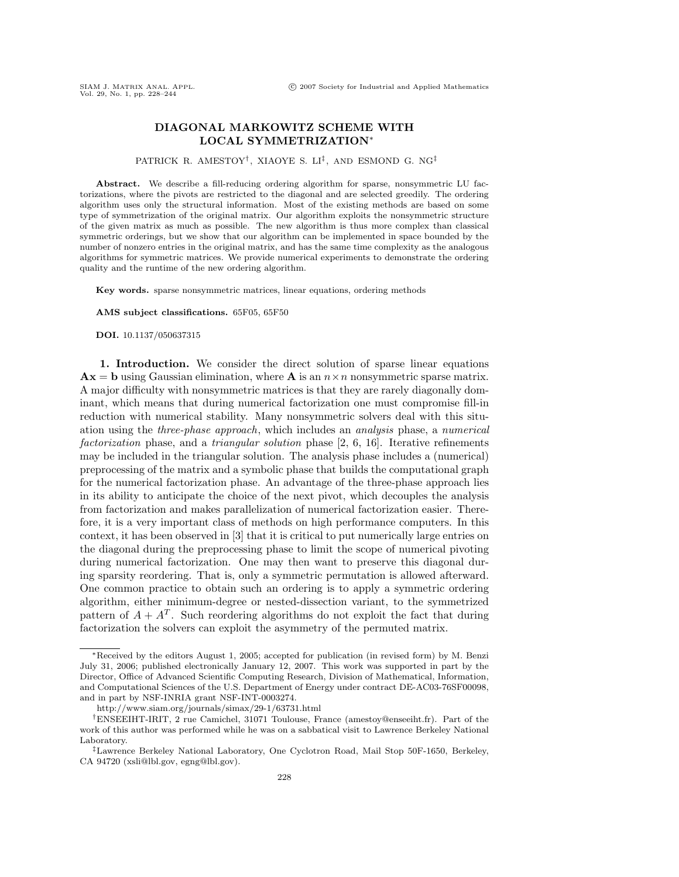## **DIAGONAL MARKOWITZ SCHEME WITH LOCAL SYMMETRIZATION**∗

PATRICK R. AMESTOY†, XIAOYE S. LI‡, AND ESMOND G. NG‡

**Abstract.** We describe a fill-reducing ordering algorithm for sparse, nonsymmetric LU factorizations, where the pivots are restricted to the diagonal and are selected greedily. The ordering algorithm uses only the structural information. Most of the existing methods are based on some type of symmetrization of the original matrix. Our algorithm exploits the nonsymmetric structure of the given matrix as much as possible. The new algorithm is thus more complex than classical symmetric orderings, but we show that our algorithm can be implemented in space bounded by the number of nonzero entries in the original matrix, and has the same time complexity as the analogous algorithms for symmetric matrices. We provide numerical experiments to demonstrate the ordering quality and the runtime of the new ordering algorithm.

**Key words.** sparse nonsymmetric matrices, linear equations, ordering methods

**AMS subject classifications.** 65F05, 65F50

**DOI.** 10.1137/050637315

**1. Introduction.** We consider the direct solution of sparse linear equations  $\mathbf{A}\mathbf{x} = \mathbf{b}$  using Gaussian elimination, where **A** is an  $n \times n$  nonsymmetric sparse matrix. A major difficulty with nonsymmetric matrices is that they are rarely diagonally dominant, which means that during numerical factorization one must compromise fill-in reduction with numerical stability. Many nonsymmetric solvers deal with this situation using the three-phase approach, which includes an analysis phase, a numerical factorization phase, and a triangular solution phase  $[2, 6, 16]$ . Iterative refinements may be included in the triangular solution. The analysis phase includes a (numerical) preprocessing of the matrix and a symbolic phase that builds the computational graph for the numerical factorization phase. An advantage of the three-phase approach lies in its ability to anticipate the choice of the next pivot, which decouples the analysis from factorization and makes parallelization of numerical factorization easier. Therefore, it is a very important class of methods on high performance computers. In this context, it has been observed in [3] that it is critical to put numerically large entries on the diagonal during the preprocessing phase to limit the scope of numerical pivoting during numerical factorization. One may then want to preserve this diagonal during sparsity reordering. That is, only a symmetric permutation is allowed afterward. One common practice to obtain such an ordering is to apply a symmetric ordering algorithm, either minimum-degree or nested-dissection variant, to the symmetrized pattern of  $A + A<sup>T</sup>$ . Such reordering algorithms do not exploit the fact that during factorization the solvers can exploit the asymmetry of the permuted matrix.

<sup>∗</sup>Received by the editors August 1, 2005; accepted for publication (in revised form) by M. Benzi July 31, 2006; published electronically January 12, 2007. This work was supported in part by the Director, Office of Advanced Scientific Computing Research, Division of Mathematical, Information, and Computational Sciences of the U.S. Department of Energy under contract DE-AC03-76SF00098, and in part by NSF-INRIA grant NSF-INT-0003274.

http://www.siam.org/journals/simax/29-1/63731.html

<sup>†</sup>ENSEEIHT-IRIT, 2 rue Camichel, 31071 Toulouse, France (amestoy@enseeiht.fr). Part of the work of this author was performed while he was on a sabbatical visit to Lawrence Berkeley National Laboratory.

<sup>‡</sup>Lawrence Berkeley National Laboratory, One Cyclotron Road, Mail Stop 50F-1650, Berkeley, CA 94720 (xsli@lbl.gov, egng@lbl.gov).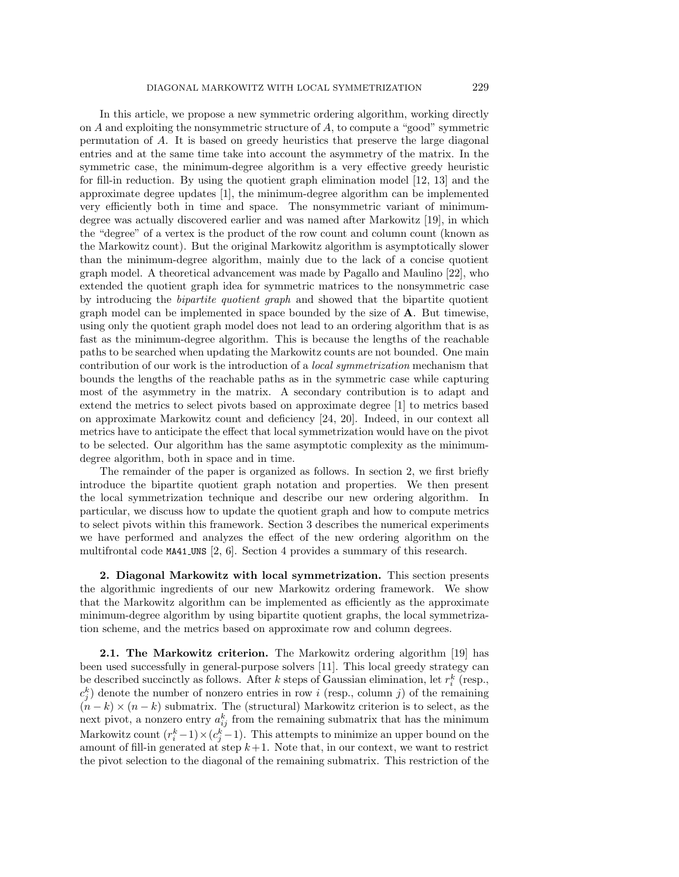In this article, we propose a new symmetric ordering algorithm, working directly on  $A$  and exploiting the nonsymmetric structure of  $A$ , to compute a "good" symmetric permutation of A. It is based on greedy heuristics that preserve the large diagonal entries and at the same time take into account the asymmetry of the matrix. In the symmetric case, the minimum-degree algorithm is a very effective greedy heuristic for fill-in reduction. By using the quotient graph elimination model [12, 13] and the approximate degree updates [1], the minimum-degree algorithm can be implemented very efficiently both in time and space. The nonsymmetric variant of minimumdegree was actually discovered earlier and was named after Markowitz [19], in which the "degree" of a vertex is the product of the row count and column count (known as the Markowitz count). But the original Markowitz algorithm is asymptotically slower than the minimum-degree algorithm, mainly due to the lack of a concise quotient graph model. A theoretical advancement was made by Pagallo and Maulino [22], who extended the quotient graph idea for symmetric matrices to the nonsymmetric case by introducing the bipartite quotient graph and showed that the bipartite quotient graph model can be implemented in space bounded by the size of **A**. But timewise, using only the quotient graph model does not lead to an ordering algorithm that is as fast as the minimum-degree algorithm. This is because the lengths of the reachable paths to be searched when updating the Markowitz counts are not bounded. One main contribution of our work is the introduction of a local symmetrization mechanism that bounds the lengths of the reachable paths as in the symmetric case while capturing most of the asymmetry in the matrix. A secondary contribution is to adapt and extend the metrics to select pivots based on approximate degree [1] to metrics based on approximate Markowitz count and deficiency [24, 20]. Indeed, in our context all metrics have to anticipate the effect that local symmetrization would have on the pivot to be selected. Our algorithm has the same asymptotic complexity as the minimumdegree algorithm, both in space and in time.

The remainder of the paper is organized as follows. In section 2, we first briefly introduce the bipartite quotient graph notation and properties. We then present the local symmetrization technique and describe our new ordering algorithm. In particular, we discuss how to update the quotient graph and how to compute metrics to select pivots within this framework. Section 3 describes the numerical experiments we have performed and analyzes the effect of the new ordering algorithm on the multifrontal code MA41 UNS [2, 6]. Section 4 provides a summary of this research.

**2. Diagonal Markowitz with local symmetrization.** This section presents the algorithmic ingredients of our new Markowitz ordering framework. We show that the Markowitz algorithm can be implemented as efficiently as the approximate minimum-degree algorithm by using bipartite quotient graphs, the local symmetrization scheme, and the metrics based on approximate row and column degrees.

**2.1. The Markowitz criterion.** The Markowitz ordering algorithm [19] has been used successfully in general-purpose solvers [11]. This local greedy strategy can be described succinctly as follows. After  $k$  steps of Gaussian elimination, let  $r_i^k$  (resp.,  $c_j^k$ ) denote the number of nonzero entries in row i (resp., column j) of the remaining  $(n-k) \times (n-k)$  submatrix. The (structural) Markowitz criterion is to select, as the next pivot, a nonzero entry  $a_{ij}^k$  from the remaining submatrix that has the minimum Markowitz count  $(r_i^k-1) \times (c_j^k-1)$ . This attempts to minimize an upper bound on the amount of fill-in generated at step  $k+1$ . Note that, in our context, we want to restrict the pivot selection to the diagonal of the remaining submatrix. This restriction of the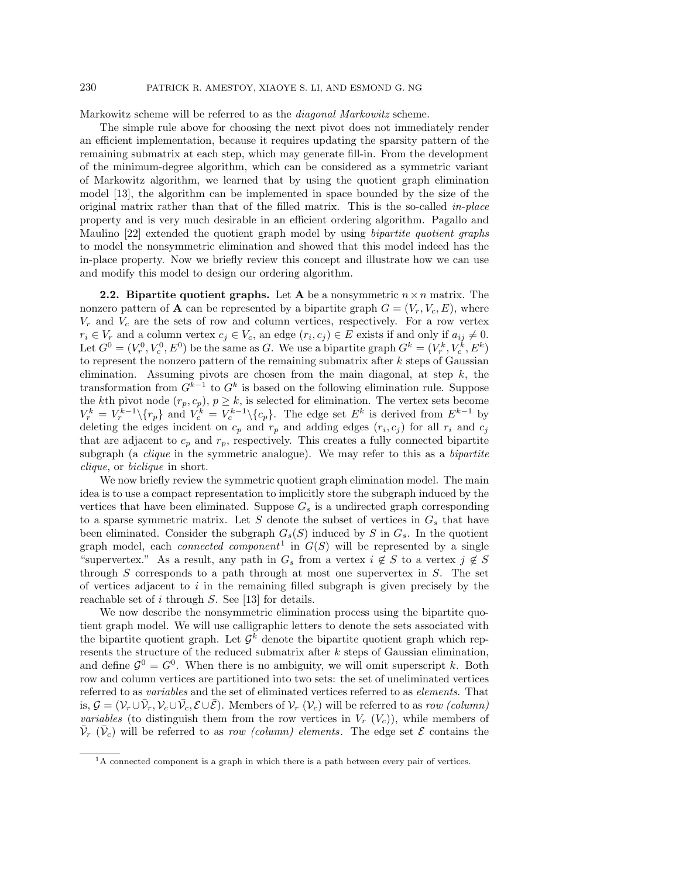Markowitz scheme will be referred to as the diagonal Markowitz scheme.

The simple rule above for choosing the next pivot does not immediately render an efficient implementation, because it requires updating the sparsity pattern of the remaining submatrix at each step, which may generate fill-in. From the development of the minimum-degree algorithm, which can be considered as a symmetric variant of Markowitz algorithm, we learned that by using the quotient graph elimination model [13], the algorithm can be implemented in space bounded by the size of the original matrix rather than that of the filled matrix. This is the so-called in-place property and is very much desirable in an efficient ordering algorithm. Pagallo and Maulino [22] extended the quotient graph model by using bipartite quotient graphs to model the nonsymmetric elimination and showed that this model indeed has the in-place property. Now we briefly review this concept and illustrate how we can use and modify this model to design our ordering algorithm.

**2.2. Bipartite quotient graphs.** Let **A** be a nonsymmetric  $n \times n$  matrix. The nonzero pattern of **A** can be represented by a bipartite graph  $G = (V_r, V_c, E)$ , where  $V_r$  and  $V_c$  are the sets of row and column vertices, respectively. For a row vertex  $r_i \in V_r$  and a column vertex  $c_j \in V_c$ , an edge  $(r_i, c_j) \in E$  exists if and only if  $a_{ij} \neq 0$ . Let  $G^0 = (V_r^0, V_c^0, E^0)$  be the same as G. We use a bipartite graph  $G^k = (V_r^k, V_c^k, E^k)$ to represent the nonzero pattern of the remaining submatrix after  $k$  steps of Gaussian elimination. Assuming pivots are chosen from the main diagonal, at step  $k$ , the transformation from  $G^{k-1}$  to  $G^k$  is based on the following elimination rule. Suppose the kth pivot node  $(r_p, c_p)$ ,  $p \geq k$ , is selected for elimination. The vertex sets become  $V_r^k = V_r^{k-1} \setminus \{r_p\}$  and  $V_c^k = V_c^{k-1} \setminus \{c_p\}$ . The edge set  $E^k$  is derived from  $E^{k-1}$  by deleting the edges incident on  $c_p$  and  $r_p$  and adding edges  $(r_i, c_j)$  for all  $r_i$  and  $c_j$ that are adjacent to  $c_p$  and  $r_p$ , respectively. This creates a fully connected bipartite subgraph (a *clique* in the symmetric analogue). We may refer to this as a *bipartite* clique, or biclique in short.

We now briefly review the symmetric quotient graph elimination model. The main idea is to use a compact representation to implicitly store the subgraph induced by the vertices that have been eliminated. Suppose  $G_s$  is a undirected graph corresponding to a sparse symmetric matrix. Let S denote the subset of vertices in  $G_s$  that have been eliminated. Consider the subgraph  $G_s(S)$  induced by S in  $G_s$ . In the quotient graph model, each *connected component*<sup>1</sup> in  $G(S)$  will be represented by a single "supervertex." As a result, any path in  $G_s$  from a vertex  $i \notin S$  to a vertex  $j \notin S$ through  $S$  corresponds to a path through at most one supervertex in  $S$ . The set of vertices adjacent to  $i$  in the remaining filled subgraph is given precisely by the reachable set of  $i$  through  $S$ . See [13] for details.

We now describe the nonsymmetric elimination process using the bipartite quotient graph model. We will use calligraphic letters to denote the sets associated with the bipartite quotient graph. Let  $\mathcal{G}^k$  denote the bipartite quotient graph which represents the structure of the reduced submatrix after k steps of Gaussian elimination, and define  $\mathcal{G}^0 = \mathcal{G}^0$ . When there is no ambiguity, we will omit superscript k. Both row and column vertices are partitioned into two sets: the set of uneliminated vertices referred to as variables and the set of eliminated vertices referred to as elements. That is,  $\mathcal{G} = (\mathcal{V}_r \cup \bar{\mathcal{V}}_r, \mathcal{V}_c \cup \bar{\mathcal{V}}_c, \mathcal{E} \cup \bar{\mathcal{E}})$ . Members of  $\mathcal{V}_r(\mathcal{V}_c)$  will be referred to as row (column) *variables* (to distinguish them from the row vertices in  $V_r$   $(V_c)$ ), while members of  $\bar{\mathcal{V}}_r$  ( $\bar{\mathcal{V}}_c$ ) will be referred to as row (column) elements. The edge set  $\mathcal E$  contains the

<sup>&</sup>lt;sup>1</sup>A connected component is a graph in which there is a path between every pair of vertices.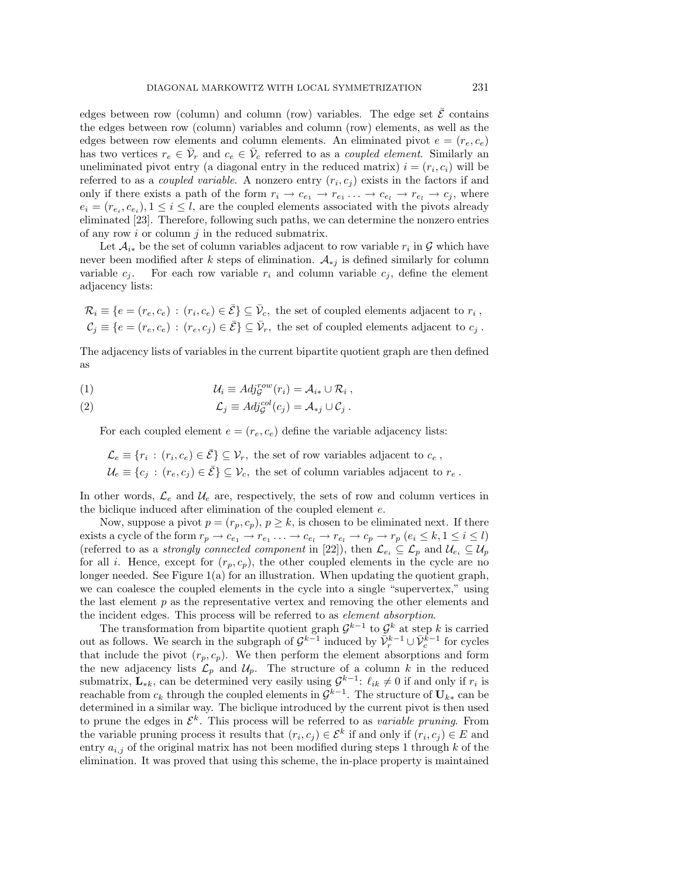edges between row (column) and column (row) variables. The edge set  $\mathcal E$  contains the edges between row (column) variables and column (row) elements, as well as the edges between row elements and column elements. An eliminated pivot  $e = (r_e, c_e)$ has two vertices  $r_e \in \mathcal{V}_r$  and  $c_e \in \mathcal{V}_c$  referred to as a *coupled element*. Similarly an uneliminated pivot entry (a diagonal entry in the reduced matrix)  $i = (r_i, c_i)$  will be referred to as a *coupled variable*. A nonzero entry  $(r_i, c_j)$  exists in the factors if and only if there exists a path of the form  $r_i \to c_{e_1} \to r_{e_1} \ldots \to c_{e_l} \to r_{e_l} \to c_j$ , where  $e_i = (r_{e_i}, c_{e_i}), 1 \leq i \leq l$ , are the coupled elements associated with the pivots already eliminated [23]. Therefore, following such paths, we can determine the nonzero entries of any row  $i$  or column  $j$  in the reduced submatrix.

Let  $\mathcal{A}_{i*}$  be the set of column variables adjacent to row variable  $r_i$  in G which have never been modified after k steps of elimination.  $A_{*j}$  is defined similarly for column variable  $c_j$ . For each row variable  $r_i$  and column variable  $c_j$ , define the element For each row variable  $r_i$  and column variable  $c_j$ , define the element adjacency lists:

$$
\mathcal{R}_i \equiv \{e = (r_e, c_e) : (r_i, c_e) \in \bar{\mathcal{E}}\} \subseteq \bar{\mathcal{V}}_c
$$
, the set of coupled elements adjacent to  $r_i$ ,  

$$
\mathcal{C}_j \equiv \{e = (r_e, c_e) : (r_e, c_j) \in \bar{\mathcal{E}}\} \subseteq \bar{\mathcal{V}}_r
$$
, the set of coupled elements adjacent to  $c_j$ .

The adjacency lists of variables in the current bipartite quotient graph are then defined as

(1) 
$$
\mathcal{U}_i \equiv Adj_{\mathcal{G}}^{row}(r_i) = \mathcal{A}_{i*} \cup \mathcal{R}_i ,
$$

(2) 
$$
\mathcal{L}_j \equiv Adj_{\mathcal{G}}^{col}(c_j) = \mathcal{A}_{*j} \cup \mathcal{C}_j.
$$

For each coupled element  $e = (r_e, c_e)$  define the variable adjacency lists:

 $\mathcal{L}_e \equiv \{r_i : (r_i, c_e) \in \overline{\mathcal{E}}\} \subseteq \mathcal{V}_r$ , the set of row variables adjacent to  $c_e$ ,  $\mathcal{U}_e \equiv \{c_j : (r_e, c_j) \in \overline{\mathcal{E}}\} \subseteq \mathcal{V}_c$ , the set of column variables adjacent to  $r_e$ .

In other words,  $\mathcal{L}_e$  and  $\mathcal{U}_e$  are, respectively, the sets of row and column vertices in the biclique induced after elimination of the coupled element e.

Now, suppose a pivot  $p = (r_p, c_p)$ ,  $p \geq k$ , is chosen to be eliminated next. If there exists a cycle of the form  $r_p \to c_{e_1} \to r_{e_1} \ldots \to c_{e_l} \to r_{e_l} \to c_p \to r_p$   $(e_i \leq k, 1 \leq i \leq l)$ (referred to as a *strongly connected component* in [22]), then  $\mathcal{L}_{e_i} \subseteq \mathcal{L}_p$  and  $\mathcal{U}_{e_i} \subseteq \mathcal{U}_p$ for all i. Hence, except for  $(r_p, c_p)$ , the other coupled elements in the cycle are no longer needed. See Figure 1(a) for an illustration. When updating the quotient graph, we can coalesce the coupled elements in the cycle into a single "supervertex," using the last element  $p$  as the representative vertex and removing the other elements and the incident edges. This process will be referred to as element absorption.

The transformation from bipartite quotient graph  $\mathcal{G}^{k-1}$  to  $\mathcal{G}^k$  at step k is carried out as follows. We search in the subgraph of  $\mathcal{G}^{k-1}$  induced by  $\bar{\mathcal{V}}_r^{k-1} \cup \bar{\mathcal{V}}_c^{\bar{k}-1}$  for cycles that include the pivot  $(r_p, c_p)$ . We then perform the element absorptions and form the new adjacency lists  $\mathcal{L}_p$  and  $\mathcal{U}_p$ . The structure of a column k in the reduced submatrix,  $\mathbf{L}_{*k}$ , can be determined very easily using  $\mathcal{G}^{k-1}$ :  $\ell_{ik} \neq 0$  if and only if  $r_i$  is reachable from  $c_k$  through the coupled elements in  $\tilde{\mathcal{G}}^{k-1}$ . The structure of  $\mathbf{U}_{k*}$  can be determined in a similar way. The biclique introduced by the current pivot is then used to prune the edges in  $\mathcal{E}^k$ . This process will be referred to as variable pruning. From the variable pruning process it results that  $(r_i, c_i) \in \mathcal{E}^k$  if and only if  $(r_i, c_i) \in E$  and entry  $a_{i,j}$  of the original matrix has not been modified during steps 1 through k of the elimination. It was proved that using this scheme, the in-place property is maintained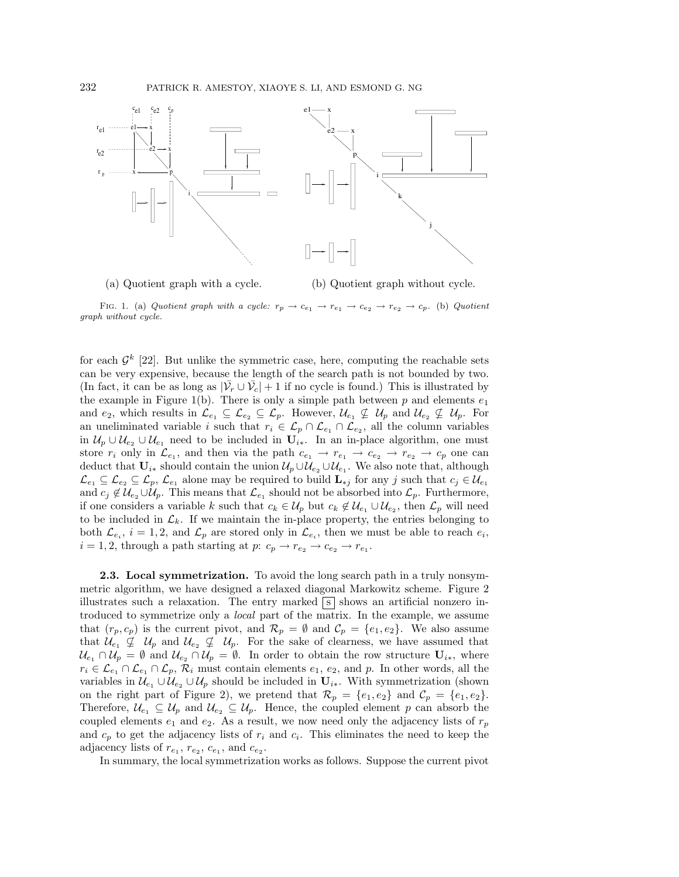

(a) Quotient graph with a cycle. (b) Quotient graph without cycle.

FIG. 1. (a) Quotient graph with a cycle:  $r_p \rightarrow c_{e_1} \rightarrow r_{e_1} \rightarrow c_{e_2} \rightarrow r_{e_2} \rightarrow c_p$ . (b) Quotient graph without cycle.

for each  $\mathcal{G}^k$  [22]. But unlike the symmetric case, here, computing the reachable sets can be very expensive, because the length of the search path is not bounded by two. (In fact, it can be as long as  $|\bar{V_r} \cup \bar{V_c}| + 1$  if no cycle is found.) This is illustrated by the example in Figure 1(b). There is only a simple path between  $p$  and elements  $e_1$ and  $e_2$ , which results in  $\mathcal{L}_{e_1} \subseteq \mathcal{L}_{e_2} \subseteq \mathcal{L}_p$ . However,  $\mathcal{U}_{e_1} \nsubseteq \mathcal{U}_p$  and  $\mathcal{U}_{e_2} \nsubseteq \mathcal{U}_p$ . For an uneliminated variable i such that  $r_i \in \mathcal{L}_p \cap \mathcal{L}_{e_1} \cap \mathcal{L}_{e_2}$ , all the column variables in  $\mathcal{U}_p \cup \mathcal{U}_{e_2} \cup \mathcal{U}_{e_1}$  need to be included in  $\mathbf{U}_{i*}$ . In an in-place algorithm, one must store  $r_i$  only in  $\mathcal{L}_{e_1}$ , and then via the path  $c_{e_1} \rightarrow r_{e_1} \rightarrow c_{e_2} \rightarrow r_{e_2} \rightarrow c_p$  one can deduct that  $\mathbf{U}_{i*}$  should contain the union  $\mathcal{U}_p \cup \mathcal{U}_{e_2} \cup \mathcal{U}_{e_1}$ . We also note that, although  $\mathcal{L}_{e_1} \subseteq \mathcal{L}_{e_2} \subseteq \mathcal{L}_p$ ,  $\mathcal{L}_{e_1}$  alone may be required to build  $\mathbf{L}_{*j}$  for any j such that  $c_j \in \mathcal{U}_{e_1}$ and  $c_j \notin \mathcal{U}_{e_2} \cup \mathcal{U}_p$ . This means that  $\mathcal{L}_{e_1}$  should not be absorbed into  $\mathcal{L}_p$ . Furthermore, if one considers a variable k such that  $c_k \in \mathcal{U}_p$  but  $c_k \notin \mathcal{U}_{e_1} \cup \mathcal{U}_{e_2}$ , then  $\mathcal{L}_p$  will need to be included in  $\mathcal{L}_k$ . If we maintain the in-place property, the entries belonging to both  $\mathcal{L}_{e_i}$ ,  $i = 1, 2$ , and  $\mathcal{L}_p$  are stored only in  $\mathcal{L}_{e_i}$ , then we must be able to reach  $e_i$ ,  $i = 1, 2$ , through a path starting at  $p: c_p \rightarrow r_{e_2} \rightarrow r_{e_1}$ .

**2.3. Local symmetrization.** To avoid the long search path in a truly nonsymmetric algorithm, we have designed a relaxed diagonal Markowitz scheme. Figure 2 illustrates such a relaxation. The entry marked  $\boxed{s}$  shows an artificial nonzero introduced to symmetrize only a local part of the matrix. In the example, we assume that  $(r_p, c_p)$  is the current pivot, and  $\mathcal{R}_p = \emptyset$  and  $\mathcal{C}_p = \{e_1, e_2\}$ . We also assume that  $U_{e_1} \nsubseteq U_p$  and  $U_{e_2} \nsubseteq U_p$ . For the sake of clearness, we have assumed that  $\mathcal{U}_{e_1} \cap \mathcal{U}_p = \emptyset$  and  $\mathcal{U}_{e_2} \cap \mathcal{U}_p = \emptyset$ . In order to obtain the row structure  $\mathbf{U}_{i*}$ , where  $r_i \in \mathcal{L}_{e_1} \cap \mathcal{L}_{e_1} \cap \mathcal{L}_p$ ,  $\mathcal{R}_i$  must contain elements  $e_1, e_2$ , and p. In other words, all the variables in  $\mathcal{U}_{e_1} \cup \mathcal{U}_{e_2} \cup \mathcal{U}_p$  should be included in  $U_{i*}$ . With symmetrization (shown on the right part of Figure 2), we pretend that  $\mathcal{R}_p = \{e_1, e_2\}$  and  $\mathcal{C}_p = \{e_1, e_2\}.$ Therefore,  $\mathcal{U}_{e_1} \subseteq \mathcal{U}_p$  and  $\mathcal{U}_{e_2} \subseteq \mathcal{U}_p$ . Hence, the coupled element p can absorb the coupled elements  $e_1$  and  $e_2$ . As a result, we now need only the adjacency lists of  $r_p$ and  $c_p$  to get the adjacency lists of  $r_i$  and  $c_i$ . This eliminates the need to keep the adjacency lists of  $r_{e_1}$ ,  $r_{e_2}$ ,  $c_{e_1}$ , and  $c_{e_2}$ .

In summary, the local symmetrization works as follows. Suppose the current pivot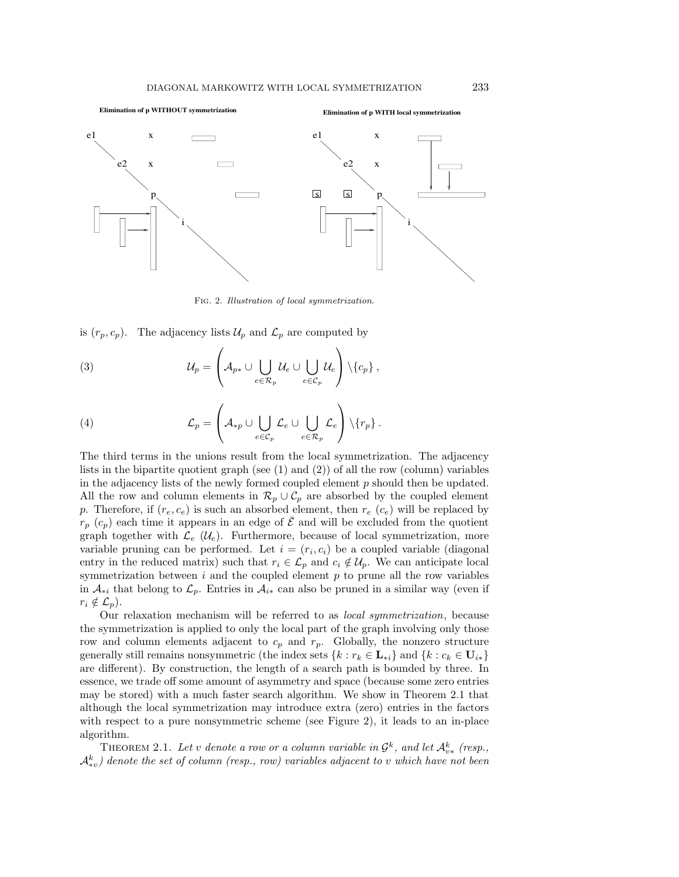

Fig. 2. Illustration of local symmetrization.

is  $(r_p, c_p)$ . The adjacency lists  $\mathcal{U}_p$  and  $\mathcal{L}_p$  are computed by

(3) 
$$
\mathcal{U}_p = \left(\mathcal{A}_{p*} \cup \bigcup_{e \in \mathcal{R}_p} \mathcal{U}_e \cup \bigcup_{e \in \mathcal{C}_p} \mathcal{U}_e\right) \setminus \{c_p\},\,
$$

(4) 
$$
\mathcal{L}_p = \left(\mathcal{A}_{*p} \cup \bigcup_{e \in \mathcal{C}_p} \mathcal{L}_e \cup \bigcup_{e \in \mathcal{R}_p} \mathcal{L}_e\right) \setminus \{r_p\}.
$$

The third terms in the unions result from the local symmetrization. The adjacency lists in the bipartite quotient graph (see  $(1)$  and  $(2)$ ) of all the row (column) variables in the adjacency lists of the newly formed coupled element p should then be updated. All the row and column elements in  $\mathcal{R}_p \cup \mathcal{C}_p$  are absorbed by the coupled element p. Therefore, if  $(r_e, c_e)$  is such an absorbed element, then  $r_e$   $(c_e)$  will be replaced by  $r_p$  ( $c_p$ ) each time it appears in an edge of  $\bar{\mathcal{E}}$  and will be excluded from the quotient graph together with  $\mathcal{L}_{e}$  ( $\mathcal{U}_{e}$ ). Furthermore, because of local symmetrization, more variable pruning can be performed. Let  $i = (r_i, c_i)$  be a coupled variable (diagonal entry in the reduced matrix) such that  $r_i \in \mathcal{L}_p$  and  $c_i \notin \mathcal{U}_p$ . We can anticipate local symmetrization between  $i$  and the coupled element  $p$  to prune all the row variables in  $A_{*i}$  that belong to  $\mathcal{L}_p$ . Entries in  $\mathcal{A}_{i*}$  can also be pruned in a similar way (even if  $r_i \notin \mathcal{L}_p$ .

Our relaxation mechanism will be referred to as local symmetrization, because the symmetrization is applied to only the local part of the graph involving only those row and column elements adjacent to  $c_p$  and  $r_p$ . Globally, the nonzero structure generally still remains nonsymmetric (the index sets  $\{k : r_k \in \mathbf{L}_{*i}\}\$  and  $\{k : c_k \in \mathbf{U}_{i*}\}\$ are different). By construction, the length of a search path is bounded by three. In essence, we trade off some amount of asymmetry and space (because some zero entries may be stored) with a much faster search algorithm. We show in Theorem 2.1 that although the local symmetrization may introduce extra (zero) entries in the factors with respect to a pure nonsymmetric scheme (see Figure 2), it leads to an in-place algorithm.

THEOREM 2.1. Let v denote a row or a column variable in  $\mathcal{G}^k$ , and let  $\mathcal{A}_{v*}^k$  (resp.,  $\mathcal{A}_{\ast v}^{k}$ ) denote the set of column (resp., row) variables adjacent to  $v$  which have not been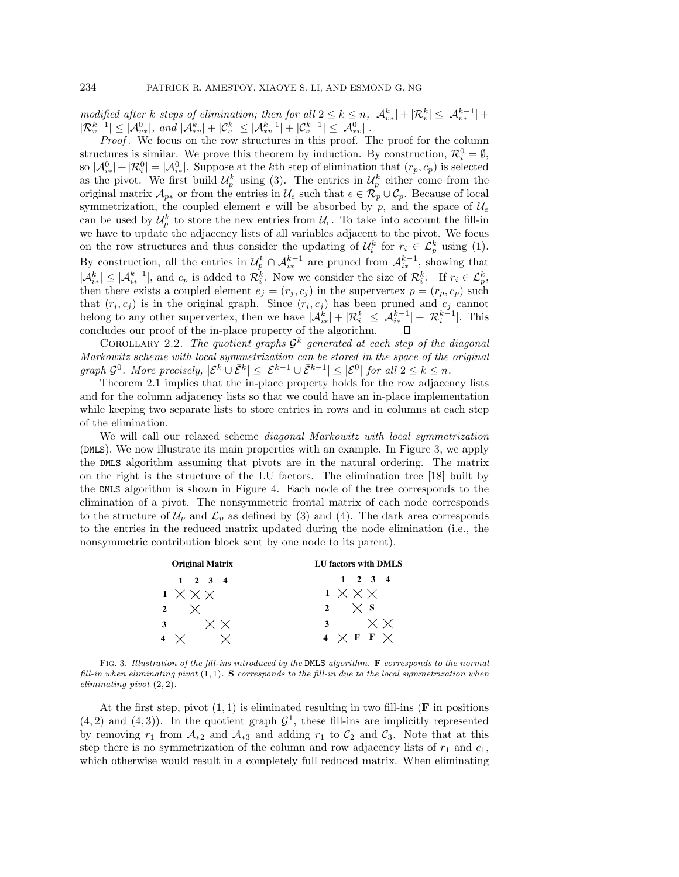modified after k steps of elimination; then for all  $2 \le k \le n$ ,  $|\mathcal{A}_{v*}^k| + |\mathcal{R}_v^k| \le |\mathcal{A}_{v*}^{k-1}| +$  $|\mathcal{R}_v^{k-1}| \leq |\mathcal{A}_{v*}^0|$ , and  $|\mathcal{A}_{*v}^k| + |\mathcal{C}_v^k| \leq |\mathcal{A}_{*v}^{k-1}| + |\mathcal{C}_v^{k-1}| \leq |\mathcal{A}_{*v}^0|$ .

Proof. We focus on the row structures in this proof. The proof for the column structures is similar. We prove this theorem by induction. By construction,  $\mathcal{R}_{i}^{0} = \emptyset$ , so  $|\mathcal{A}_{i*}^0| + |\mathcal{R}_{i}^0| = |\mathcal{A}_{i*}^0|$ . Suppose at the kth step of elimination that  $(r_p, c_p)$  is selected as the pivot. We first build  $\mathcal{U}_p^k$  using (3). The entries in  $\mathcal{U}_p^k$  either come from the original matrix  $\mathcal{A}_{p*}$  or from the entries in  $\mathcal{U}_e$  such that  $e \in \mathcal{R}_p \cup \mathcal{C}_p$ . Because of local symmetrization, the coupled element e will be absorbed by p, and the space of  $\mathcal{U}_e$ can be used by  $\mathcal{U}_p^k$  to store the new entries from  $\mathcal{U}_e$ . To take into account the fill-in we have to update the adjacency lists of all variables adjacent to the pivot. We focus on the row structures and thus consider the updating of  $\mathcal{U}_i^k$  for  $r_i \in \mathcal{L}_p^k$  using (1). By construction, all the entries in  $\mathcal{U}_p^k \cap \mathcal{A}_{i*}^{k-1}$  are pruned from  $\mathcal{A}_{i*}^{k-1}$ , showing that  $|\mathcal{A}_{i*}^k| \leq |\mathcal{A}_{i*}^{k-1}|$ , and  $c_p$  is added to  $\mathcal{R}_i^k$ . Now we consider the size of  $\mathcal{R}_i^k$ . If  $r_i \in \mathcal{L}_p^k$ , then there exists a coupled element  $e_j = (r_j, c_j)$  in the supervertex  $p = (r_p, c_p)$  such that  $(r_i, c_j)$  is in the original graph. Since  $(r_i, c_j)$  has been pruned and  $c_j$  cannot belong to any other supervertex, then we have  $|\mathcal{A}_{i*}^k| + |\mathcal{R}_{i}^k| \leq |\mathcal{A}_{i*}^{k-1}| + |\mathcal{R}_{i}^{k-1}|$ . This concludes our proof of the in-place property of the algorithm.

COROLLARY 2.2. The quotient graphs  $\mathcal{G}^k$  generated at each step of the diagonal Markowitz scheme with local symmetrization can be stored in the space of the original graph  $\mathcal{G}^0$ . More precisely,  $|\mathcal{E}^k \cup \bar{\mathcal{E}}^k| \leq |\mathcal{E}^{k-1} \cup \bar{\mathcal{E}}^{k-1}| \leq |\mathcal{E}^0|$  for all  $2 \leq k \leq n$ .

Theorem 2.1 implies that the in-place property holds for the row adjacency lists and for the column adjacency lists so that we could have an in-place implementation while keeping two separate lists to store entries in rows and in columns at each step of the elimination.

We will call our relaxed scheme *diagonal Markowitz with local symmetrization* (DMLS). We now illustrate its main properties with an example. In Figure 3, we apply the DMLS algorithm assuming that pivots are in the natural ordering. The matrix on the right is the structure of the LU factors. The elimination tree [18] built by the DMLS algorithm is shown in Figure 4. Each node of the tree corresponds to the elimination of a pivot. The nonsymmetric frontal matrix of each node corresponds to the structure of  $\mathcal{U}_p$  and  $\mathcal{L}_p$  as defined by (3) and (4). The dark area corresponds to the entries in the reduced matrix updated during the node elimination (i.e., the nonsymmetric contribution block sent by one node to its parent).

| <b>Original Matrix</b>      | LU factors with DMLS    |
|-----------------------------|-------------------------|
| $1 \quad 2 \quad 3 \quad 4$ | $1 \t2 \t3 \t4$         |
| $1 \times X \times$         | $1 \times X \times$     |
| 2 $\times$                  | 2 $\times$ S            |
| 3 $\times \times$           | 3 $\times \times$       |
| $4 \times \times$           | 4 $\times$ F F $\times$ |

Fig. 3. Illustration of the fill-ins introduced by the DMLS algorithm. **F** corresponds to the normal fill-in when eliminating pivot (1, 1). **S** corresponds to the fill-in due to the local symmetrization when eliminating pivot (2, 2).

At the first step, pivot  $(1, 1)$  is eliminated resulting in two fill-ins ( $\bf{F}$  in positions  $(4, 2)$  and  $(4, 3)$ ). In the quotient graph  $\mathcal{G}^1$ , these fill-ins are implicitly represented by removing  $r_1$  from  $\mathcal{A}_{*2}$  and  $\mathcal{A}_{*3}$  and adding  $r_1$  to  $\mathcal{C}_2$  and  $\mathcal{C}_3$ . Note that at this step there is no symmetrization of the column and row adjacency lists of  $r_1$  and  $c_1$ , which otherwise would result in a completely full reduced matrix. When eliminating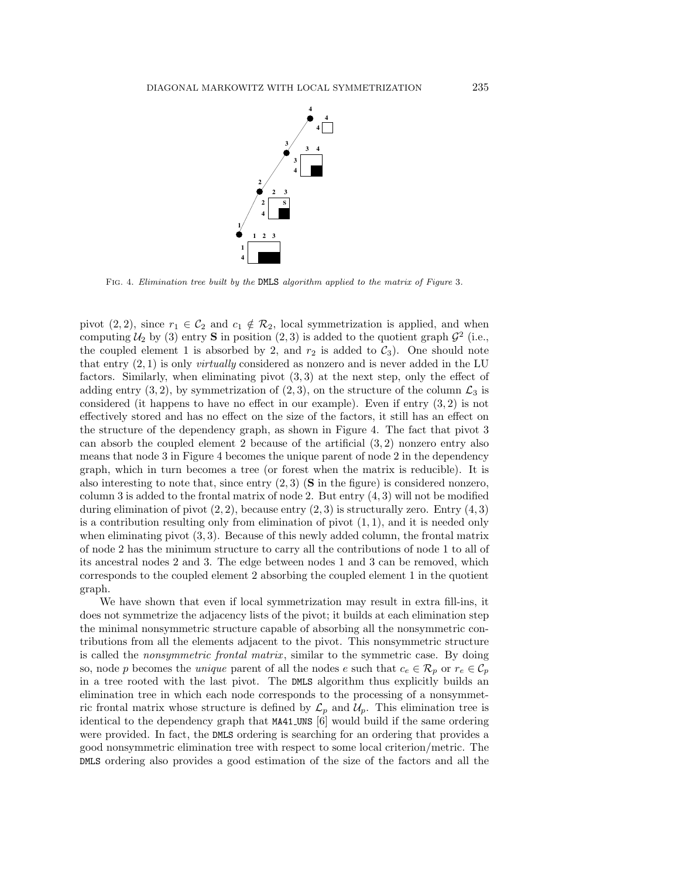**4**



FIG. 4. Elimination tree built by the DMLS algorithm applied to the matrix of Figure 3.

pivot (2, 2), since  $r_1 \in C_2$  and  $c_1 \notin \mathcal{R}_2$ , local symmetrization is applied, and when computing  $U_2$  by (3) entry **S** in position (2, 3) is added to the quotient graph  $\mathcal{G}^2$  (i.e., the coupled element 1 is absorbed by 2, and  $r_2$  is added to  $\mathcal{C}_3$ ). One should note that entry  $(2, 1)$  is only *virtually* considered as nonzero and is never added in the LU factors. Similarly, when eliminating pivot (3, 3) at the next step, only the effect of adding entry  $(3, 2)$ , by symmetrization of  $(2, 3)$ , on the structure of the column  $\mathcal{L}_3$  is considered (it happens to have no effect in our example). Even if entry (3, 2) is not effectively stored and has no effect on the size of the factors, it still has an effect on the structure of the dependency graph, as shown in Figure 4. The fact that pivot 3 can absorb the coupled element 2 because of the artificial  $(3, 2)$  nonzero entry also means that node 3 in Figure 4 becomes the unique parent of node 2 in the dependency graph, which in turn becomes a tree (or forest when the matrix is reducible). It is also interesting to note that, since entry  $(2,3)$  (**S** in the figure) is considered nonzero, column 3 is added to the frontal matrix of node 2. But entry  $(4, 3)$  will not be modified during elimination of pivot  $(2, 2)$ , because entry  $(2, 3)$  is structurally zero. Entry  $(4, 3)$ is a contribution resulting only from elimination of pivot  $(1, 1)$ , and it is needed only when eliminating pivot  $(3, 3)$ . Because of this newly added column, the frontal matrix of node 2 has the minimum structure to carry all the contributions of node 1 to all of its ancestral nodes 2 and 3. The edge between nodes 1 and 3 can be removed, which corresponds to the coupled element 2 absorbing the coupled element 1 in the quotient graph.

We have shown that even if local symmetrization may result in extra fill-ins, it does not symmetrize the adjacency lists of the pivot; it builds at each elimination step the minimal nonsymmetric structure capable of absorbing all the nonsymmetric contributions from all the elements adjacent to the pivot. This nonsymmetric structure is called the *nonsymmetric frontal matrix*, similar to the symmetric case. By doing so, node p becomes the unique parent of all the nodes e such that  $c_e \in \mathcal{R}_p$  or  $r_e \in \mathcal{C}_p$ in a tree rooted with the last pivot. The DMLS algorithm thus explicitly builds an elimination tree in which each node corresponds to the processing of a nonsymmetric frontal matrix whose structure is defined by  $\mathcal{L}_p$  and  $\mathcal{U}_p$ . This elimination tree is identical to the dependency graph that MA41 UNS [6] would build if the same ordering were provided. In fact, the DMLS ordering is searching for an ordering that provides a good nonsymmetric elimination tree with respect to some local criterion/metric. The DMLS ordering also provides a good estimation of the size of the factors and all the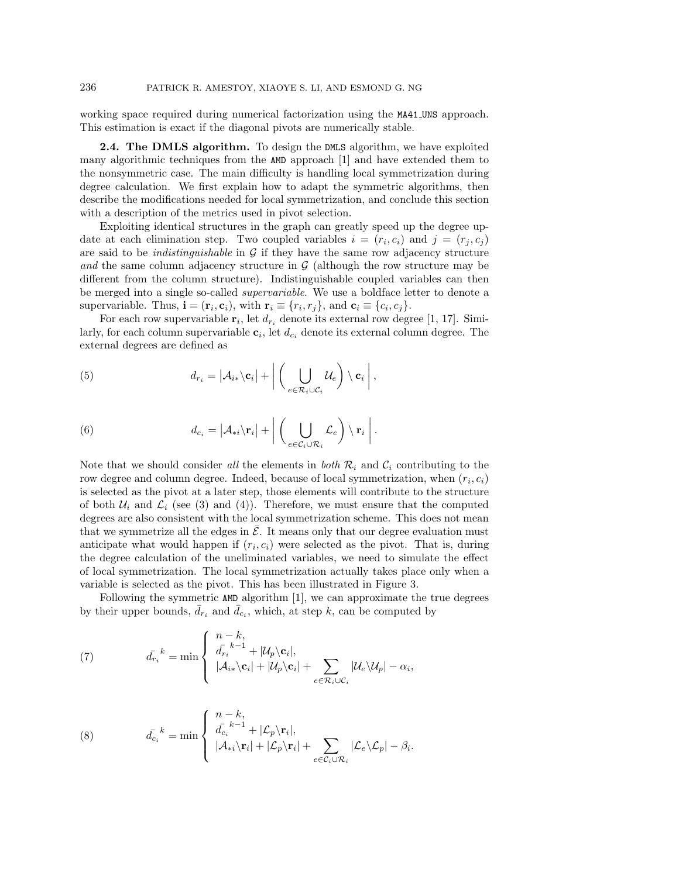working space required during numerical factorization using the MA41 UNS approach. This estimation is exact if the diagonal pivots are numerically stable.

**2.4. The DMLS algorithm.** To design the DMLS algorithm, we have exploited many algorithmic techniques from the AMD approach [1] and have extended them to the nonsymmetric case. The main difficulty is handling local symmetrization during degree calculation. We first explain how to adapt the symmetric algorithms, then describe the modifications needed for local symmetrization, and conclude this section with a description of the metrics used in pivot selection.

Exploiting identical structures in the graph can greatly speed up the degree update at each elimination step. Two coupled variables  $i = (r_i, c_i)$  and  $j = (r_j, c_i)$ are said to be *indistinguishable* in  $\mathcal G$  if they have the same row adjacency structure and the same column adjacency structure in  $G$  (although the row structure may be different from the column structure). Indistinguishable coupled variables can then be merged into a single so-called supervariable. We use a boldface letter to denote a supervariable. Thus,  $\mathbf{i} = (\mathbf{r}_i, \mathbf{c}_i)$ , with  $\mathbf{r}_i \equiv \{r_i, r_j\}$ , and  $\mathbf{c}_i \equiv \{c_i, c_j\}$ .

For each row supervariable  $\mathbf{r}_i$ , let  $d_{r_i}$  denote its external row degree [1, 17]. Similarly, for each column supervariable  $\mathbf{c}_i$ , let  $d_{c_i}$  denote its external column degree. The external degrees are defined as

(5) 
$$
d_{r_i} = |\mathcal{A}_{i*} \backslash \mathbf{c}_i| + \left| \left( \bigcup_{e \in \mathcal{R}_i \cup \mathcal{C}_i} \mathcal{U}_e \right) \backslash \mathbf{c}_i \right|,
$$

(6) 
$$
d_{c_i} = \left| A_{*i} \backslash \mathbf{r}_i \right| + \left| \left( \bigcup_{e \in C_i \cup \mathcal{R}_i} \mathcal{L}_e \right) \backslash \mathbf{r}_i \right|.
$$

Note that we should consider all the elements in both  $\mathcal{R}_i$  and  $\mathcal{C}_i$  contributing to the row degree and column degree. Indeed, because of local symmetrization, when  $(r_i, c_i)$ is selected as the pivot at a later step, those elements will contribute to the structure of both  $\mathcal{U}_i$  and  $\mathcal{L}_i$  (see (3) and (4)). Therefore, we must ensure that the computed degrees are also consistent with the local symmetrization scheme. This does not mean that we symmetrize all the edges in  $\bar{\mathcal{E}}$ . It means only that our degree evaluation must anticipate what would happen if  $(r_i, c_i)$  were selected as the pivot. That is, during the degree calculation of the uneliminated variables, we need to simulate the effect of local symmetrization. The local symmetrization actually takes place only when a variable is selected as the pivot. This has been illustrated in Figure 3.

Following the symmetric AMD algorithm [1], we can approximate the true degrees by their upper bounds,  $\bar{d}_{r_i}$  and  $\bar{d}_{c_i}$ , which, at step k, can be computed by

(7) 
$$
\bar{d_{r_i}}^k = \min \left\{ \begin{array}{l} n - k, \\ \bar{d_{r_i}}^{k-1} + |\mathcal{U}_p \backslash \mathbf{c}_i|, \\ |\mathcal{A}_{i*} \backslash \mathbf{c}_i| + |\mathcal{U}_p \backslash \mathbf{c}_i| + \sum_{e \in \mathcal{R}_i \cup \mathcal{C}_i} |\mathcal{U}_e \backslash \mathcal{U}_p| - \alpha_i, \end{array} \right.
$$

(8) 
$$
\bar{d_{c_i}}^k = \min \begin{cases} n - k, \\ \bar{d_{c_i}}^{k-1} + |\mathcal{L}_p \backslash \mathbf{r}_i|, \\ |\mathcal{A}_{*i} \backslash \mathbf{r}_i| + |\mathcal{L}_p \backslash \mathbf{r}_i| + \sum_{e \in \mathcal{C}_i \cup \mathcal{R}_i} |\mathcal{L}_e \backslash \mathcal{L}_p| - \beta_i. \end{cases}
$$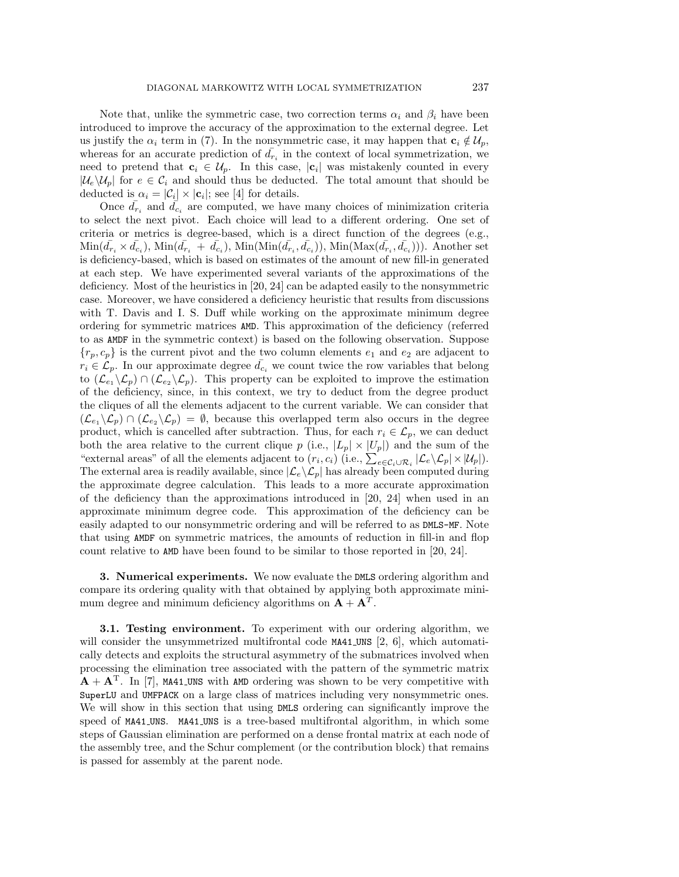Note that, unlike the symmetric case, two correction terms  $\alpha_i$  and  $\beta_i$  have been introduced to improve the accuracy of the approximation to the external degree. Let us justify the  $\alpha_i$  term in (7). In the nonsymmetric case, it may happen that  $\mathbf{c}_i \notin \mathcal{U}_p$ , whereas for an accurate prediction of  $d_{r_i}$  in the context of local symmetrization, we need to pretend that  $\mathbf{c}_i \in \mathcal{U}_p$ . In this case,  $|\mathbf{c}_i|$  was mistakenly counted in every  $|\mathcal{U}_e \backslash \mathcal{U}_p|$  for  $e \in \mathcal{C}_i$  and should thus be deducted. The total amount that should be deducted is  $\alpha_i = |\mathcal{C}_i| \times |\mathbf{c}_i|$ ; see [4] for details.

Once  $\bar{d}_{r_i}$  and  $\bar{d}_{c_i}$  are computed, we have many choices of minimization criteria to select the next pivot. Each choice will lead to a different ordering. One set of criteria or metrics is degree-based, which is a direct function of the degrees (e.g.,  $\text{Min}(\bar{d}_{r_i} \times \bar{d}_{c_i}), \text{Min}(\bar{d}_{r_i} + \bar{d}_{c_i}), \text{Min}(\text{Min}(\bar{d}_{r_i}, \bar{d}_{c_i})), \text{Min}(\text{Max}(\bar{d}_{r_i}, \bar{d}_{c_i}))).$  Another set is deficiency-based, which is based on estimates of the amount of new fill-in generated at each step. We have experimented several variants of the approximations of the deficiency. Most of the heuristics in [20, 24] can be adapted easily to the nonsymmetric case. Moreover, we have considered a deficiency heuristic that results from discussions with T. Davis and I. S. Duff while working on the approximate minimum degree ordering for symmetric matrices AMD. This approximation of the deficiency (referred to as AMDF in the symmetric context) is based on the following observation. Suppose  ${r_p, c_p}$  is the current pivot and the two column elements  $e_1$  and  $e_2$  are adjacent to  $r_i \in \mathcal{L}_p$ . In our approximate degree  $\bar{d}_{c_i}$  we count twice the row variables that belong to  $(\mathcal{L}_{e_1} \setminus \mathcal{L}_p) \cap (\mathcal{L}_{e_2} \setminus \mathcal{L}_p)$ . This property can be exploited to improve the estimation of the deficiency, since, in this context, we try to deduct from the degree product the cliques of all the elements adjacent to the current variable. We can consider that  $(\mathcal{L}_{e_1} \setminus \mathcal{L}_p) \cap (\mathcal{L}_{e_2} \setminus \mathcal{L}_p) = \emptyset$ , because this overlapped term also occurs in the degree product, which is cancelled after subtraction. Thus, for each  $r_i \in \mathcal{L}_p$ , we can deduct both the area relative to the current clique p (i.e.,  $|L_p| \times |U_p|$ ) and the sum of the "external areas" of all the elements adjacent to  $(r_i, c_i)$  (i.e.,  $\sum_{e \in C_i \cup \mathcal{R}_i} |\mathcal{L}_e \backslash \mathcal{L}_p| \times |\mathcal{U}_p|$ ). The external area is readily available, since  $|\mathcal{L}_e \backslash \mathcal{L}_p|$  has already been computed during the approximate degree calculation. This leads to a more accurate approximation of the deficiency than the approximations introduced in [20, 24] when used in an approximate minimum degree code. This approximation of the deficiency can be easily adapted to our nonsymmetric ordering and will be referred to as DMLS-MF. Note that using AMDF on symmetric matrices, the amounts of reduction in fill-in and flop count relative to AMD have been found to be similar to those reported in [20, 24].

**3. Numerical experiments.** We now evaluate the DMLS ordering algorithm and compare its ordering quality with that obtained by applying both approximate minimum degree and minimum deficiency algorithms on  $\mathbf{A} + \mathbf{A}^T$ .

**3.1. Testing environment.** To experiment with our ordering algorithm, we will consider the unsymmetrized multifrontal code  $MA41$  UNS  $[2, 6]$ , which automatically detects and exploits the structural asymmetry of the submatrices involved when processing the elimination tree associated with the pattern of the symmetric matrix  $A + A^{T}$ . In [7], MA41\_UNS with AMD ordering was shown to be very competitive with SuperLU and UMFPACK on a large class of matrices including very nonsymmetric ones. We will show in this section that using DMLS ordering can significantly improve the speed of MA41 UNS. MA41 UNS is a tree-based multifrontal algorithm, in which some steps of Gaussian elimination are performed on a dense frontal matrix at each node of the assembly tree, and the Schur complement (or the contribution block) that remains is passed for assembly at the parent node.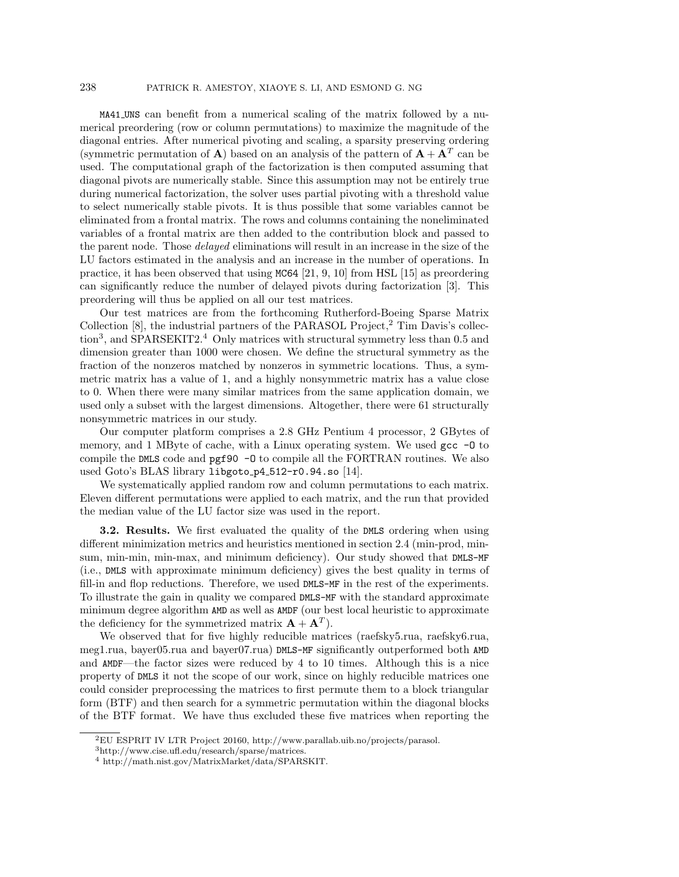MA41 UNS can benefit from a numerical scaling of the matrix followed by a numerical preordering (row or column permutations) to maximize the magnitude of the diagonal entries. After numerical pivoting and scaling, a sparsity preserving ordering (symmetric permutation of **A**) based on an analysis of the pattern of  $\mathbf{A} + \mathbf{A}^T$  can be used. The computational graph of the factorization is then computed assuming that diagonal pivots are numerically stable. Since this assumption may not be entirely true during numerical factorization, the solver uses partial pivoting with a threshold value to select numerically stable pivots. It is thus possible that some variables cannot be eliminated from a frontal matrix. The rows and columns containing the noneliminated variables of a frontal matrix are then added to the contribution block and passed to the parent node. Those delayed eliminations will result in an increase in the size of the LU factors estimated in the analysis and an increase in the number of operations. In practice, it has been observed that using MC64 [21, 9, 10] from HSL [15] as preordering can significantly reduce the number of delayed pivots during factorization [3]. This preordering will thus be applied on all our test matrices.

Our test matrices are from the forthcoming Rutherford-Boeing Sparse Matrix Collection  $[8]$ , the industrial partners of the PARASOL Project, $^2$  Tim Davis's collec- $\{\text{tion}^3, \text{ and SPARSEKIT2}.$ <sup>4</sup> Only matrices with structural symmetry less than 0.5 and dimension greater than 1000 were chosen. We define the structural symmetry as the fraction of the nonzeros matched by nonzeros in symmetric locations. Thus, a symmetric matrix has a value of 1, and a highly nonsymmetric matrix has a value close to 0. When there were many similar matrices from the same application domain, we used only a subset with the largest dimensions. Altogether, there were 61 structurally nonsymmetric matrices in our study.

Our computer platform comprises a 2.8 GHz Pentium 4 processor, 2 GBytes of memory, and 1 MByte of cache, with a Linux operating system. We used gcc  $-0$  to compile the DMLS code and pgf90 -O to compile all the FORTRAN routines. We also used Goto's BLAS library libgoto p4 512-r0.94.so [14].

We systematically applied random row and column permutations to each matrix. Eleven different permutations were applied to each matrix, and the run that provided the median value of the LU factor size was used in the report.

**3.2. Results.** We first evaluated the quality of the DMLS ordering when using different minimization metrics and heuristics mentioned in section 2.4 (min-prod, minsum, min-min, min-max, and minimum deficiency). Our study showed that DMLS-MF (i.e., DMLS with approximate minimum deficiency) gives the best quality in terms of fill-in and flop reductions. Therefore, we used DMLS-MF in the rest of the experiments. To illustrate the gain in quality we compared DMLS-MF with the standard approximate minimum degree algorithm AMD as well as AMDF (our best local heuristic to approximate the deficiency for the symmetrized matrix  $\mathbf{A} + \mathbf{A}^{T}$ .

We observed that for five highly reducible matrices (raefsky5.rua, raefsky6.rua, meg1.rua, bayer05.rua and bayer07.rua) DMLS-MF significantly outperformed both AMD and AMDF—the factor sizes were reduced by 4 to 10 times. Although this is a nice property of DMLS it not the scope of our work, since on highly reducible matrices one could consider preprocessing the matrices to first permute them to a block triangular form (BTF) and then search for a symmetric permutation within the diagonal blocks of the BTF format. We have thus excluded these five matrices when reporting the

<sup>2</sup>EU ESPRIT IV LTR Project 20160, http://www.parallab.uib.no/projects/parasol.

<sup>3</sup>http://www.cise.ufl.edu/research/sparse/matrices.

<sup>4</sup> http://math.nist.gov/MatrixMarket/data/SPARSKIT.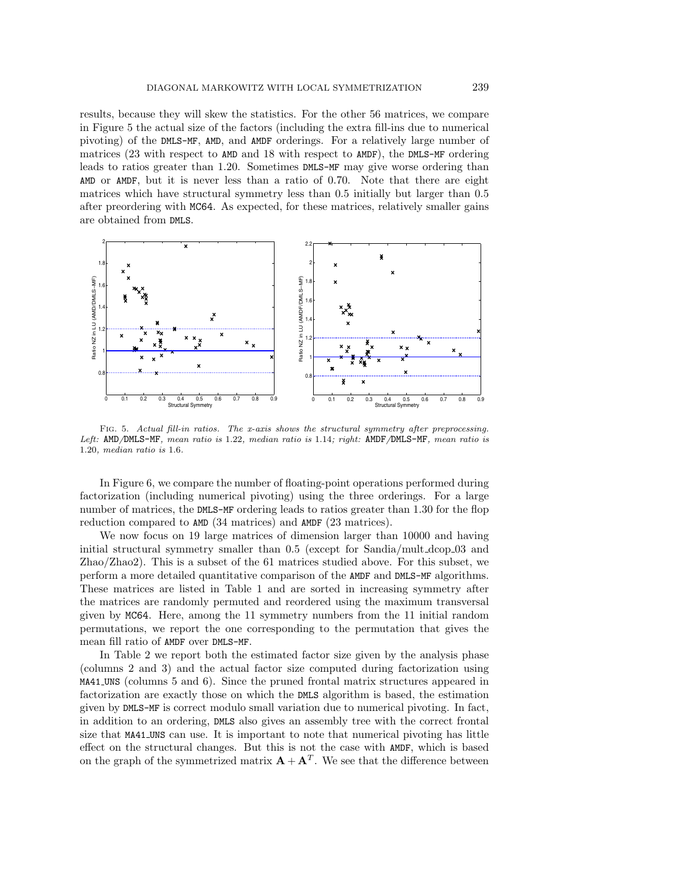results, because they will skew the statistics. For the other 56 matrices, we compare in Figure 5 the actual size of the factors (including the extra fill-ins due to numerical pivoting) of the DMLS-MF, AMD, and AMDF orderings. For a relatively large number of matrices (23 with respect to AMD and 18 with respect to AMDF), the DMLS-MF ordering leads to ratios greater than 1.20. Sometimes DMLS-MF may give worse ordering than AMD or AMDF, but it is never less than a ratio of 0.70. Note that there are eight matrices which have structural symmetry less than 0.5 initially but larger than 0.5 after preordering with MC64. As expected, for these matrices, relatively smaller gains are obtained from DMLS.



FIG. 5. Actual fill-in ratios. The x-axis shows the structural symmetry after preprocessing. Left: AMD/DMLS-MF, mean ratio is 1.22, median ratio is 1.14; right: AMDF/DMLS-MF, mean ratio is 1.20, median ratio is 1.6.

In Figure 6, we compare the number of floating-point operations performed during factorization (including numerical pivoting) using the three orderings. For a large number of matrices, the DMLS-MF ordering leads to ratios greater than 1.30 for the flop reduction compared to AMD (34 matrices) and AMDF (23 matrices).

We now focus on 19 large matrices of dimension larger than 10000 and having initial structural symmetry smaller than 0.5 (except for Sandia/mult dcop 03 and Zhao/Zhao2). This is a subset of the 61 matrices studied above. For this subset, we perform a more detailed quantitative comparison of the AMDF and DMLS-MF algorithms. These matrices are listed in Table 1 and are sorted in increasing symmetry after the matrices are randomly permuted and reordered using the maximum transversal given by MC64. Here, among the 11 symmetry numbers from the 11 initial random permutations, we report the one corresponding to the permutation that gives the mean fill ratio of AMDF over DMLS-MF.

In Table 2 we report both the estimated factor size given by the analysis phase (columns 2 and 3) and the actual factor size computed during factorization using MA41 UNS (columns 5 and 6). Since the pruned frontal matrix structures appeared in factorization are exactly those on which the DMLS algorithm is based, the estimation given by DMLS-MF is correct modulo small variation due to numerical pivoting. In fact, in addition to an ordering, DMLS also gives an assembly tree with the correct frontal size that MA41 UNS can use. It is important to note that numerical pivoting has little effect on the structural changes. But this is not the case with AMDF, which is based on the graph of the symmetrized matrix  $\mathbf{A} + \mathbf{A}^T$ . We see that the difference between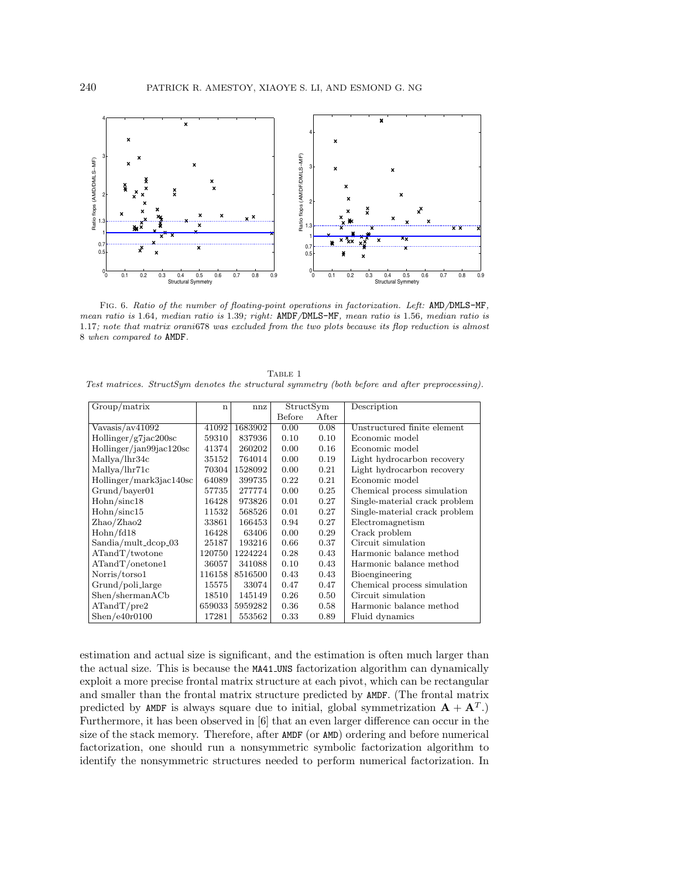

Fig. 6. Ratio of the number of floating-point operations in factorization. Left: AMD/DMLS-MF, mean ratio is 1.64, median ratio is 1.39; right: AMDF/DMLS-MF, mean ratio is 1.56, median ratio is 1.17; note that matrix orani678 was excluded from the two plots because its flop reduction is almost 8 when compared to AMDF.

TABLE 1 Test matrices. StructSym denotes the structural symmetry (both before and after preprocessing).

| Group/matrix            | $\mathbf n$ | nnz     | StructSym |       | Description                   |  |  |  |  |  |  |
|-------------------------|-------------|---------|-----------|-------|-------------------------------|--|--|--|--|--|--|
|                         |             |         | Before    | After |                               |  |  |  |  |  |  |
| Vavasis/av41092         | 41092       | 1683902 | 0.00      | 0.08  | Unstructured finite element   |  |  |  |  |  |  |
| Hollinger/g7jac200sc    | 59310       | 837936  | 0.10      | 0.10  | Economic model                |  |  |  |  |  |  |
| Hollinger/jan99jac120sc | 41374       | 260202  | 0.00      | 0.16  | Economic model                |  |  |  |  |  |  |
| Mallya/lhr34c           | 35152       | 764014  | 0.00      | 0.19  | Light hydrocarbon recovery    |  |  |  |  |  |  |
| Mallya/lhr71c           | 70304       | 1528092 | 0.00      | 0.21  | Light hydrocarbon recovery    |  |  |  |  |  |  |
| Hollinger/mark3jac140sc | 64089       | 399735  | 0.22      | 0.21  | Economic model                |  |  |  |  |  |  |
| Grund/bayer01           | 57735       | 277774  | 0.00      | 0.25  | Chemical process simulation   |  |  |  |  |  |  |
| Hohn/sinc18             | 16428       | 973826  | 0.01      | 0.27  | Single-material crack problem |  |  |  |  |  |  |
| Hohn/sinc15             | 11532       | 568526  | 0.01      | 0.27  | Single-material crack problem |  |  |  |  |  |  |
| Zhao/Zhao2              | 33861       | 166453  | 0.94      | 0.27  | Electromagnetism              |  |  |  |  |  |  |
| Hohn/fd18               | 16428       | 63406   | 0.00      | 0.29  | Crack problem                 |  |  |  |  |  |  |
| Sandia/mult_dcop_03     | 25187       | 193216  | 0.66      | 0.37  | Circuit simulation            |  |  |  |  |  |  |
| ATandT/twotone          | 120750      | 1224224 | 0.28      | 0.43  | Harmonic balance method       |  |  |  |  |  |  |
| ATandT/onetonel         | 36057       | 341088  | 0.10      | 0.43  | Harmonic balance method       |  |  |  |  |  |  |
| Norris/torso1           | 116158      | 8516500 | 0.43      | 0.43  | Bioengineering                |  |  |  |  |  |  |
| Grund/poli_large        | 15575       | 33074   | 0.47      | 0.47  | Chemical process simulation   |  |  |  |  |  |  |
| Shen/shermanACb         | 18510       | 145149  | 0.26      | 0.50  | Circuit simulation            |  |  |  |  |  |  |
| ATandT/pre2             | 659033      | 5959282 | 0.36      | 0.58  | Harmonic balance method       |  |  |  |  |  |  |
| Shen/e40r0100           | 17281       | 553562  | 0.33      | 0.89  | Fluid dynamics                |  |  |  |  |  |  |

estimation and actual size is significant, and the estimation is often much larger than the actual size. This is because the MA41 UNS factorization algorithm can dynamically exploit a more precise frontal matrix structure at each pivot, which can be rectangular and smaller than the frontal matrix structure predicted by AMDF. (The frontal matrix predicted by **AMDF** is always square due to initial, global symmetrization  $\mathbf{A} + \mathbf{A}^{T}$ .) Furthermore, it has been observed in [6] that an even larger difference can occur in the size of the stack memory. Therefore, after AMDF (or AMD) ordering and before numerical factorization, one should run a nonsymmetric symbolic factorization algorithm to identify the nonsymmetric structures needed to perform numerical factorization. In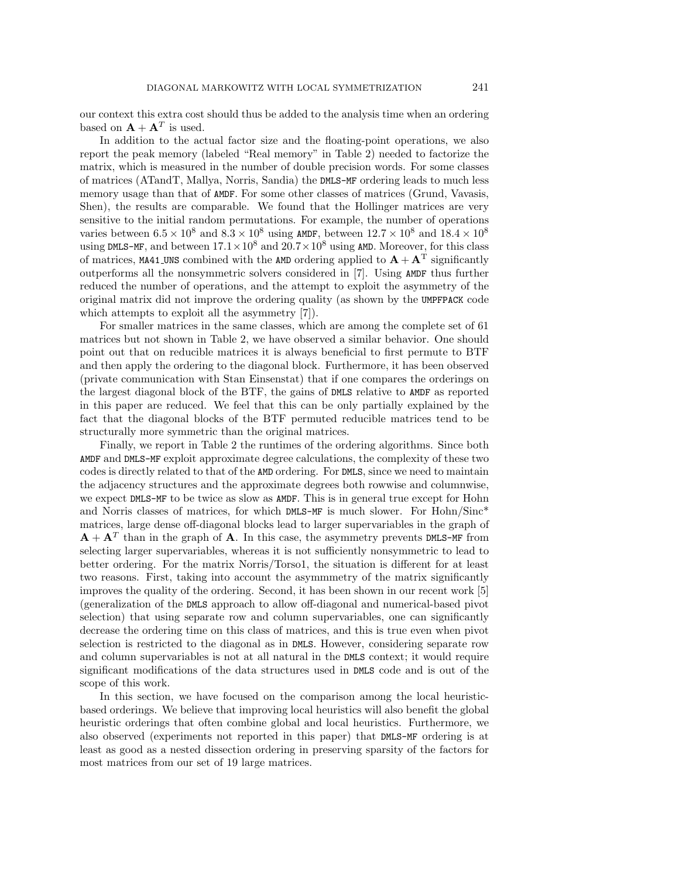our context this extra cost should thus be added to the analysis time when an ordering based on  $\mathbf{A} + \mathbf{A}^T$  is used.

In addition to the actual factor size and the floating-point operations, we also report the peak memory (labeled "Real memory" in Table 2) needed to factorize the matrix, which is measured in the number of double precision words. For some classes of matrices (ATandT, Mallya, Norris, Sandia) the DMLS-MF ordering leads to much less memory usage than that of AMDF. For some other classes of matrices (Grund, Vavasis, Shen), the results are comparable. We found that the Hollinger matrices are very sensitive to the initial random permutations. For example, the number of operations varies between  $6.5 \times 10^8$  and  $8.3 \times 10^8$  using AMDF, between  $12.7 \times 10^8$  and  $18.4 \times 10^8$ using DMLS-MF, and between  $17.1 \times 10^8$  and  $20.7 \times 10^8$  using AMD. Moreover, for this class of matrices, MA41\_UNS combined with the AMD ordering applied to  $\mathbf{A} + \mathbf{A}^T$  significantly outperforms all the nonsymmetric solvers considered in [7]. Using AMDF thus further reduced the number of operations, and the attempt to exploit the asymmetry of the original matrix did not improve the ordering quality (as shown by the UMPFPACK code which attempts to exploit all the asymmetry [7]).

For smaller matrices in the same classes, which are among the complete set of 61 matrices but not shown in Table 2, we have observed a similar behavior. One should point out that on reducible matrices it is always beneficial to first permute to BTF and then apply the ordering to the diagonal block. Furthermore, it has been observed (private communication with Stan Einsenstat) that if one compares the orderings on the largest diagonal block of the BTF, the gains of DMLS relative to AMDF as reported in this paper are reduced. We feel that this can be only partially explained by the fact that the diagonal blocks of the BTF permuted reducible matrices tend to be structurally more symmetric than the original matrices.

Finally, we report in Table 2 the runtimes of the ordering algorithms. Since both AMDF and DMLS-MF exploit approximate degree calculations, the complexity of these two codes is directly related to that of the AMD ordering. For DMLS, since we need to maintain the adjacency structures and the approximate degrees both rowwise and columnwise, we expect DMLS-MF to be twice as slow as AMDF. This is in general true except for Hohn and Norris classes of matrices, for which DMLS-MF is much slower. For Hohn/Sinc<sup>\*</sup> matrices, large dense off-diagonal blocks lead to larger supervariables in the graph of  $\mathbf{A} + \mathbf{A}^T$  than in the graph of **A**. In this case, the asymmetry prevents DMLS-MF from selecting larger supervariables, whereas it is not sufficiently nonsymmetric to lead to better ordering. For the matrix Norris/Torso1, the situation is different for at least two reasons. First, taking into account the asymmmetry of the matrix significantly improves the quality of the ordering. Second, it has been shown in our recent work [5] (generalization of the DMLS approach to allow off-diagonal and numerical-based pivot selection) that using separate row and column supervariables, one can significantly decrease the ordering time on this class of matrices, and this is true even when pivot selection is restricted to the diagonal as in DMLS. However, considering separate row and column supervariables is not at all natural in the DMLS context; it would require significant modifications of the data structures used in DMLS code and is out of the scope of this work.

In this section, we have focused on the comparison among the local heuristicbased orderings. We believe that improving local heuristics will also benefit the global heuristic orderings that often combine global and local heuristics. Furthermore, we also observed (experiments not reported in this paper) that DMLS-MF ordering is at least as good as a nested dissection ordering in preserving sparsity of the factors for most matrices from our set of 19 large matrices.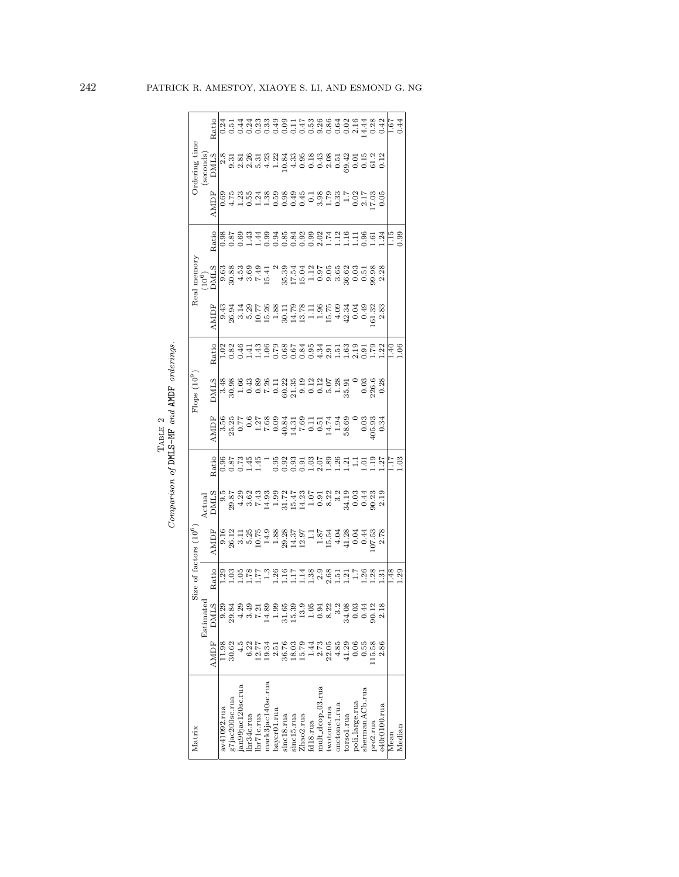| Ordering tim             |                                                                                                                                                                                                                                                                                                                                                                                                        |             |                                        |                |                       |                                                                                                                                                                                                                                                                                                                                                                       |           |                   |             |                         |                         |                                                                                                                                                                                                                                                                                                       |                                                                       |                  |             |               |                   |                |                |          | $\begin{array}{l} \frac{12}{16} \left  \frac{12}{13} \right  \frac{12}{16} \left  \frac{12}{13} \right  \frac{12}{16} \left  \frac{12}{13} \right  \frac{12}{16} \left  \frac{12}{13} \right  \frac{12}{16} \left  \frac{12}{13} \right  \frac{12}{16} \left  \frac{12}{13} \right  \frac{12}{16} \left  \frac{12}{13} \right  \frac{12}{16} \left  \frac{12}{13} \right  \left  \frac{12}{13} \right  \left  \frac{$ |      |        |
|--------------------------|--------------------------------------------------------------------------------------------------------------------------------------------------------------------------------------------------------------------------------------------------------------------------------------------------------------------------------------------------------------------------------------------------------|-------------|----------------------------------------|----------------|-----------------------|-----------------------------------------------------------------------------------------------------------------------------------------------------------------------------------------------------------------------------------------------------------------------------------------------------------------------------------------------------------------------|-----------|-------------------|-------------|-------------------------|-------------------------|-------------------------------------------------------------------------------------------------------------------------------------------------------------------------------------------------------------------------------------------------------------------------------------------------------|-----------------------------------------------------------------------|------------------|-------------|---------------|-------------------|----------------|----------------|----------|-----------------------------------------------------------------------------------------------------------------------------------------------------------------------------------------------------------------------------------------------------------------------------------------------------------------------------------------------------------------------------------------------------------------------|------|--------|
|                          |                                                                                                                                                                                                                                                                                                                                                                                                        |             |                                        |                |                       |                                                                                                                                                                                                                                                                                                                                                                       |           |                   |             |                         |                         |                                                                                                                                                                                                                                                                                                       |                                                                       |                  |             |               |                   |                |                |          |                                                                                                                                                                                                                                                                                                                                                                                                                       |      |        |
|                          |                                                                                                                                                                                                                                                                                                                                                                                                        | HUNV        |                                        |                |                       |                                                                                                                                                                                                                                                                                                                                                                       |           |                   |             |                         |                         |                                                                                                                                                                                                                                                                                                       |                                                                       |                  |             |               |                   |                |                |          |                                                                                                                                                                                                                                                                                                                                                                                                                       |      |        |
|                          |                                                                                                                                                                                                                                                                                                                                                                                                        | Ratio       |                                        |                |                       |                                                                                                                                                                                                                                                                                                                                                                       |           |                   |             |                         |                         |                                                                                                                                                                                                                                                                                                       |                                                                       |                  |             |               |                   |                |                |          |                                                                                                                                                                                                                                                                                                                                                                                                                       |      |        |
| Real memory              |                                                                                                                                                                                                                                                                                                                                                                                                        |             |                                        |                |                       |                                                                                                                                                                                                                                                                                                                                                                       |           |                   |             |                         |                         |                                                                                                                                                                                                                                                                                                       |                                                                       |                  |             |               |                   |                |                |          |                                                                                                                                                                                                                                                                                                                                                                                                                       |      |        |
|                          |                                                                                                                                                                                                                                                                                                                                                                                                        | HUNN        |                                        |                |                       |                                                                                                                                                                                                                                                                                                                                                                       |           |                   |             |                         |                         |                                                                                                                                                                                                                                                                                                       |                                                                       |                  |             |               |                   |                |                |          |                                                                                                                                                                                                                                                                                                                                                                                                                       |      |        |
|                          |                                                                                                                                                                                                                                                                                                                                                                                                        | Ratic       |                                        |                |                       |                                                                                                                                                                                                                                                                                                                                                                       |           |                   |             |                         |                         |                                                                                                                                                                                                                                                                                                       |                                                                       |                  |             |               |                   |                |                |          |                                                                                                                                                                                                                                                                                                                                                                                                                       |      |        |
| Flops (10 <sup>9</sup> ) |                                                                                                                                                                                                                                                                                                                                                                                                        |             |                                        |                |                       | $\sum_{n=0}^{\infty} \frac{1}{n^2} \sum_{n=0}^{\infty} \frac{1}{n^2} \sum_{n=0}^{\infty} \frac{1}{n^2} \sum_{n=0}^{\infty} \frac{1}{n^2} \sum_{n=0}^{\infty} \frac{1}{n^2} \sum_{n=0}^{\infty} \frac{1}{n^2} \sum_{n=0}^{\infty} \frac{1}{n^2} \sum_{n=0}^{\infty} \frac{1}{n^2} \sum_{n=0}^{\infty} \frac{1}{n^2} \sum_{n=0}^{\infty} \frac{1}{n^2} \sum_{n=0}^{\in$ |           |                   |             |                         |                         |                                                                                                                                                                                                                                                                                                       |                                                                       |                  |             |               |                   |                |                |          |                                                                                                                                                                                                                                                                                                                                                                                                                       |      |        |
|                          |                                                                                                                                                                                                                                                                                                                                                                                                        | AIDF        |                                        |                |                       |                                                                                                                                                                                                                                                                                                                                                                       |           |                   |             |                         |                         |                                                                                                                                                                                                                                                                                                       |                                                                       |                  |             |               |                   |                |                |          |                                                                                                                                                                                                                                                                                                                                                                                                                       |      |        |
|                          |                                                                                                                                                                                                                                                                                                                                                                                                        |             |                                        |                |                       |                                                                                                                                                                                                                                                                                                                                                                       |           |                   |             |                         |                         |                                                                                                                                                                                                                                                                                                       |                                                                       |                  |             |               |                   |                |                |          |                                                                                                                                                                                                                                                                                                                                                                                                                       |      |        |
|                          | $\begin{array}{l} \mbox{Area} \\ \mbox{Area} \\ \mbox{D} \\ \mbox{M} \\ \mbox{D} \\ \mbox{M} \\ \mbox{S} \\ \mbox{S} \\ \mbox{S} \\ \mbox{S} \\ \mbox{S} \\ \mbox{S} \\ \mbox{S} \\ \mbox{S} \\ \mbox{S} \\ \mbox{S} \\ \mbox{S} \\ \mbox{S} \\ \mbox{S} \\ \mbox{S} \\ \mbox{S} \\ \mbox{S} \\ \mbox{S} \\ \mbox{S} \\ \mbox{S} \\ \mbox{S} \\ \mbox{S} \\ \mbox{S} \\ \mbox{S} \\ \mbox{S} \\ \mbox$ |             |                                        |                |                       |                                                                                                                                                                                                                                                                                                                                                                       |           |                   |             |                         |                         |                                                                                                                                                                                                                                                                                                       |                                                                       |                  |             |               |                   |                |                |          |                                                                                                                                                                                                                                                                                                                                                                                                                       |      |        |
|                          |                                                                                                                                                                                                                                                                                                                                                                                                        | AMDF        |                                        |                |                       |                                                                                                                                                                                                                                                                                                                                                                       |           |                   |             |                         |                         |                                                                                                                                                                                                                                                                                                       |                                                                       |                  |             |               |                   |                |                |          |                                                                                                                                                                                                                                                                                                                                                                                                                       |      |        |
| Size of factors $(10^6$  |                                                                                                                                                                                                                                                                                                                                                                                                        | Ratio       |                                        |                |                       |                                                                                                                                                                                                                                                                                                                                                                       |           |                   |             |                         |                         |                                                                                                                                                                                                                                                                                                       |                                                                       |                  |             |               |                   |                |                |          |                                                                                                                                                                                                                                                                                                                                                                                                                       |      |        |
|                          | Estimated                                                                                                                                                                                                                                                                                                                                                                                              | DMLS        |                                        |                |                       |                                                                                                                                                                                                                                                                                                                                                                       |           |                   |             |                         |                         |                                                                                                                                                                                                                                                                                                       | $\frac{3}{1}$ $\frac{3}{0}$ $\frac{3}{0}$ $\frac{3}{2}$ $\frac{3}{2}$ |                  |             | $\frac{1}{2}$ | $20041$<br>$2009$ |                |                |          |                                                                                                                                                                                                                                                                                                                                                                                                                       |      |        |
|                          |                                                                                                                                                                                                                                                                                                                                                                                                        | <b>AMDF</b> | 1.98                                   | 30.62          |                       | 6.22                                                                                                                                                                                                                                                                                                                                                                  | 12.77     | 19.34             |             |                         |                         | $\begin{array}{c} 2.51 \\ 3.670 \\ 3.61 \\ 1.470 \\ 2.470 \\ 3.480 \\ 4.490 \\ 5.490 \\ 6.85 \\ 7.490 \\ 7.490 \\ 8.5 \\ 9.5 \\ 1.490 \\ 1.490 \\ 1.490 \\ 1.490 \\ 1.490 \\ 1.490 \\ 1.490 \\ 1.490 \\ 1.490 \\ 1.490 \\ 1.490 \\ 1.490 \\ 1.490 \\ 1.490 \\ 1.490 \\ 1.490 \\ 1.490 \\ 1.490 \\ 1.$ |                                                                       |                  |             |               | 41.29             | 0.06           | 0.55           | 115.58   | 2.86                                                                                                                                                                                                                                                                                                                                                                                                                  |      |        |
| Matrix                   |                                                                                                                                                                                                                                                                                                                                                                                                        |             | $\overline{\text{av}41092}.\text{rua}$ | g7jac200sc.rua | an 99 jac 120s c. rua | hr34c.rua                                                                                                                                                                                                                                                                                                                                                             | hr71c.rua | mark3jac140sc.rua | bayer01.rua | sinc <sub>18</sub> .rua | sinc <sub>15</sub> .rua | Zhao2.rua                                                                                                                                                                                                                                                                                             | d18.rua                                                               | mult_dcop_03.rua | twotone.rua | onetone1.rua  | torsol.rua        | poli_large.rua | shermanACb.rua | pre2.rua | e40r0100.rua                                                                                                                                                                                                                                                                                                                                                                                                          | Mean | Median |

 $\begin{tabular}{ll} \textbf{TABLE 2} \\ \textbf{Comparison of DMS-MF and ANDF orderings.} \end{tabular}$ Comparison of DMLS-MF and AMDF orderings. Table 2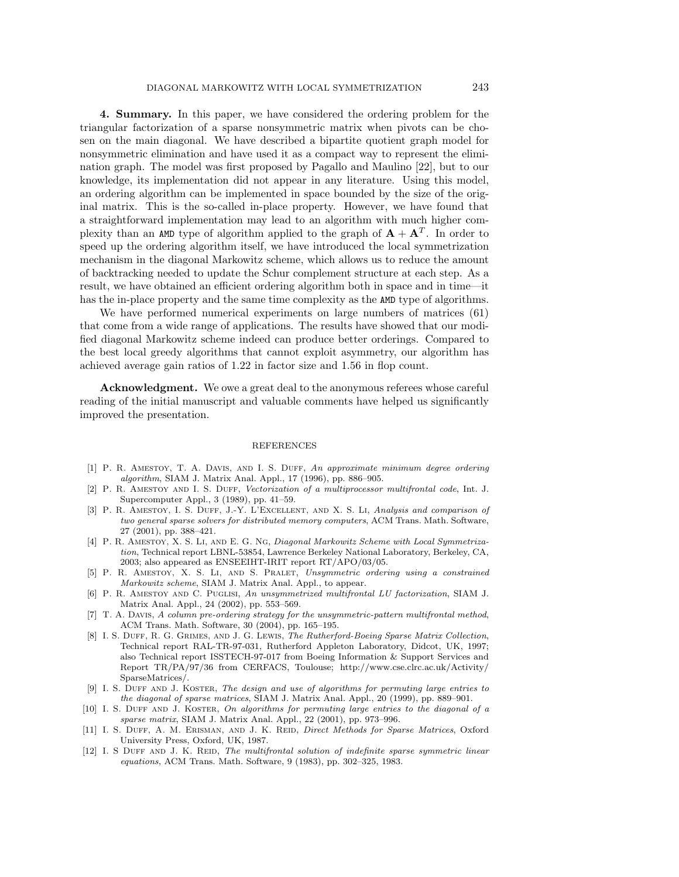**4. Summary.** In this paper, we have considered the ordering problem for the triangular factorization of a sparse nonsymmetric matrix when pivots can be chosen on the main diagonal. We have described a bipartite quotient graph model for nonsymmetric elimination and have used it as a compact way to represent the elimination graph. The model was first proposed by Pagallo and Maulino [22], but to our knowledge, its implementation did not appear in any literature. Using this model, an ordering algorithm can be implemented in space bounded by the size of the original matrix. This is the so-called in-place property. However, we have found that a straightforward implementation may lead to an algorithm with much higher complexity than an AMD type of algorithm applied to the graph of  $\mathbf{A} + \mathbf{A}^T$ . In order to speed up the ordering algorithm itself, we have introduced the local symmetrization mechanism in the diagonal Markowitz scheme, which allows us to reduce the amount of backtracking needed to update the Schur complement structure at each step. As a result, we have obtained an efficient ordering algorithm both in space and in time—it has the in-place property and the same time complexity as the AMD type of algorithms.

We have performed numerical experiments on large numbers of matrices (61) that come from a wide range of applications. The results have showed that our modified diagonal Markowitz scheme indeed can produce better orderings. Compared to the best local greedy algorithms that cannot exploit asymmetry, our algorithm has achieved average gain ratios of 1.22 in factor size and 1.56 in flop count.

**Acknowledgment.** We owe a great deal to the anonymous referees whose careful reading of the initial manuscript and valuable comments have helped us significantly improved the presentation.

## **REFERENCES**

- [1] P. R. AMESTOY, T. A. DAVIS, AND I. S. DUFF, An approximate minimum degree ordering algorithm, SIAM J. Matrix Anal. Appl., 17 (1996), pp. 886–905.
- [2] P. R. Amestoy and I. S. Duff, Vectorization of a multiprocessor multifrontal code, Int. J. Supercomputer Appl., 3 (1989), pp. 41–59.
- [3] P. R. Amestoy, I. S. Duff, J.-Y. L'Excellent, and X. S. Li, Analysis and comparison of two general sparse solvers for distributed memory computers, ACM Trans. Math. Software, 27 (2001), pp. 388–421.
- [4] P. R. Amestoy, X. S. Li, and E. G. Ng, Diagonal Markowitz Scheme with Local Symmetrization, Technical report LBNL-53854, Lawrence Berkeley National Laboratory, Berkeley, CA, 2003; also appeared as ENSEEIHT-IRIT report RT/APO/03/05.
- [5] P. R. Amestoy, X. S. Li, and S. Pralet, Unsymmetric ordering using a constrained Markowitz scheme, SIAM J. Matrix Anal. Appl., to appear.
- [6] P. R. Amestoy and C. Puglisi, An unsymmetrized multifrontal LU factorization, SIAM J. Matrix Anal. Appl., 24 (2002), pp. 553–569.
- [7] T. A. DAVIS, A column pre-ordering strategy for the unsymmetric-pattern multifrontal method, ACM Trans. Math. Software, 30 (2004), pp. 165–195.
- [8] I. S. DUFF, R. G. GRIMES, AND J. G. LEWIS, The Rutherford-Boeing Sparse Matrix Collection, Technical report RAL-TR-97-031, Rutherford Appleton Laboratory, Didcot, UK, 1997; also Technical report ISSTECH-97-017 from Boeing Information & Support Services and Report TR/PA/97/36 from CERFACS, Toulouse; http://www.cse.clrc.ac.uk/Activity/ SparseMatrices/.
- [9] I. S. DUFF AND J. KOSTER, The design and use of algorithms for permuting large entries to the diagonal of sparse matrices, SIAM J. Matrix Anal. Appl., 20 (1999), pp. 889–901.
- [10] I. S. DUFF AND J. KOSTER, On algorithms for permuting large entries to the diagonal of a sparse matrix, SIAM J. Matrix Anal. Appl., 22 (2001), pp. 973–996.
- [11] I. S. DUFF, A. M. ERISMAN, AND J. K. REID, Direct Methods for Sparse Matrices, Oxford University Press, Oxford, UK, 1987.
- [12] I. S DUFF AND J. K. REID, The multifrontal solution of indefinite sparse symmetric linear equations, ACM Trans. Math. Software, 9 (1983), pp. 302–325, 1983.